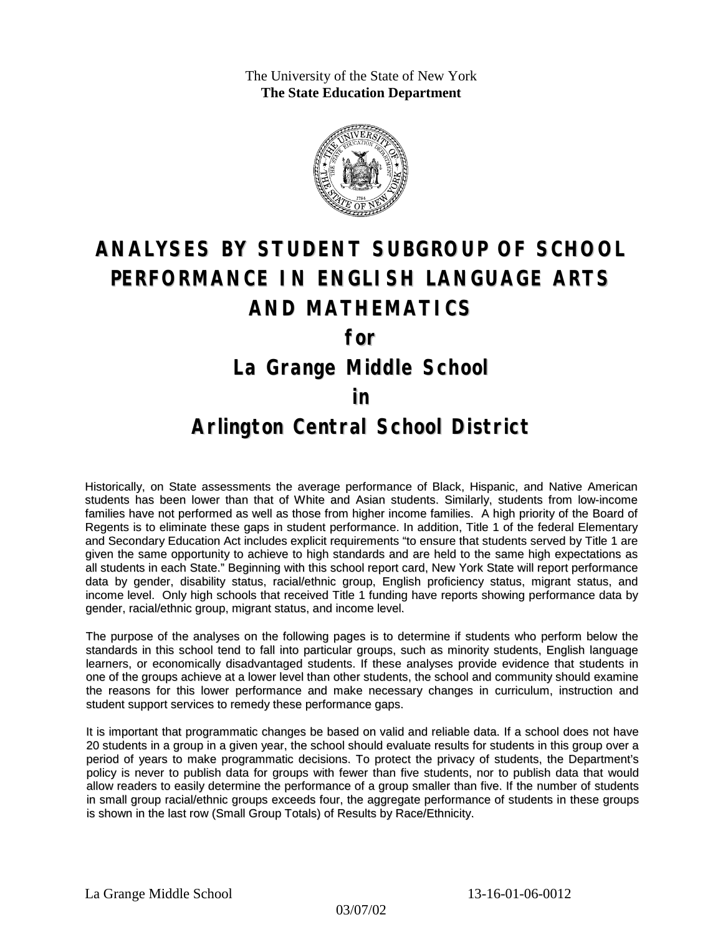The University of the State of New York **The State Education Department**



# **ANALYSES BY STUDENT SUBGROUP OF SCHOOL PERFORMANCE IN ENGLISH LANGUAGE ARTS AND MATHEMATICS for La Grange Middle School**

#### **in**

### **Arlington Central School District**

Historically, on State assessments the average performance of Black, Hispanic, and Native American students has been lower than that of White and Asian students. Similarly, students from low-income families have not performed as well as those from higher income families. A high priority of the Board of Regents is to eliminate these gaps in student performance. In addition, Title 1 of the federal Elementary and Secondary Education Act includes explicit requirements "to ensure that students served by Title 1 are given the same opportunity to achieve to high standards and are held to the same high expectations as all students in each State." Beginning with this school report card, New York State will report performance data by gender, disability status, racial/ethnic group, English proficiency status, migrant status, and income level. Only high schools that received Title 1 funding have reports showing performance data by gender, racial/ethnic group, migrant status, and income level.

The purpose of the analyses on the following pages is to determine if students who perform below the standards in this school tend to fall into particular groups, such as minority students, English language learners, or economically disadvantaged students. If these analyses provide evidence that students in one of the groups achieve at a lower level than other students, the school and community should examine the reasons for this lower performance and make necessary changes in curriculum, instruction and student support services to remedy these performance gaps.

It is important that programmatic changes be based on valid and reliable data. If a school does not have 20 students in a group in a given year, the school should evaluate results for students in this group over a period of years to make programmatic decisions. To protect the privacy of students, the Department's policy is never to publish data for groups with fewer than five students, nor to publish data that would allow readers to easily determine the performance of a group smaller than five. If the number of students in small group racial/ethnic groups exceeds four, the aggregate performance of students in these groups is shown in the last row (Small Group Totals) of Results by Race/Ethnicity.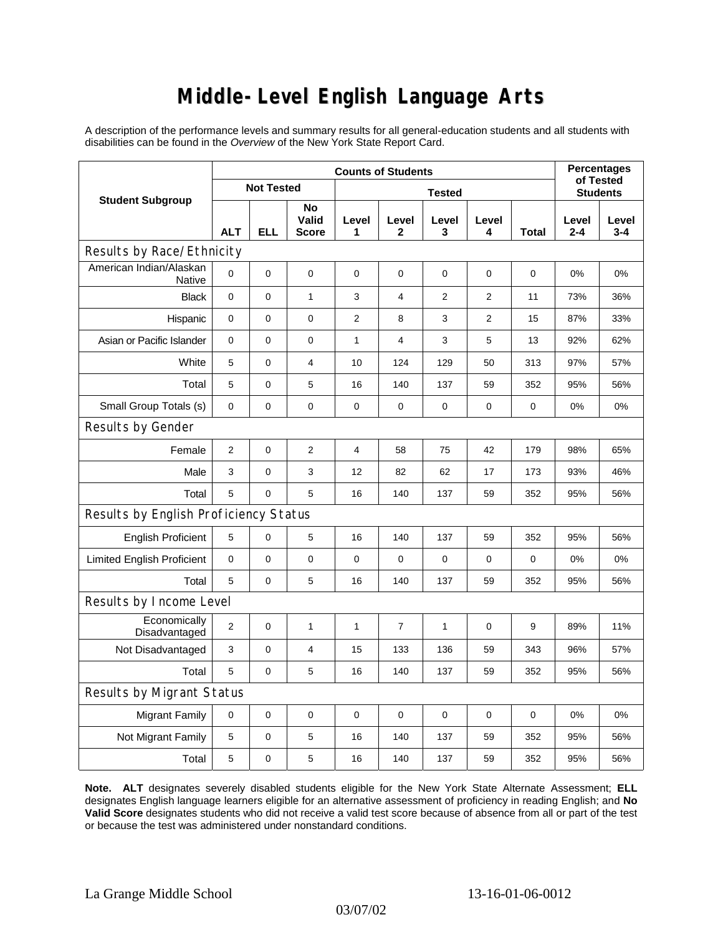# **Middle-Level English Language Arts**

A description of the performance levels and summary results for all general-education students and all students with disabilities can be found in the *Overview* of the New York State Report Card.

| <b>Student Subgroup</b>               | <b>Counts of Students</b> |             |                             |                |                       |                |                |       | <b>Percentages</b><br>of Tested |              |  |
|---------------------------------------|---------------------------|-------------|-----------------------------|----------------|-----------------------|----------------|----------------|-------|---------------------------------|--------------|--|
|                                       | <b>Not Tested</b>         |             |                             | <b>Tested</b>  |                       |                |                |       | <b>Students</b>                 |              |  |
|                                       | <b>ALT</b>                | <b>ELL</b>  | No<br>Valid<br><b>Score</b> | Level<br>1     | Level<br>$\mathbf{2}$ | Level<br>3     | Level<br>4     | Total | Level<br>$2 - 4$                | Level<br>3-4 |  |
| Results by Race/Ethnicity             |                           |             |                             |                |                       |                |                |       |                                 |              |  |
| American Indian/Alaskan<br>Native     | 0                         | $\mathbf 0$ | 0                           | $\mathbf 0$    | 0                     | $\mathbf 0$    | $\mathbf 0$    | 0     | 0%                              | 0%           |  |
| <b>Black</b>                          | $\mathbf{0}$              | 0           | $\mathbf{1}$                | 3              | 4                     | $\overline{2}$ | 2              | 11    | 73%                             | 36%          |  |
| Hispanic                              | 0                         | 0           | $\mathbf 0$                 | 2              | 8                     | 3              | $\overline{2}$ | 15    | 87%                             | 33%          |  |
| Asian or Pacific Islander             | $\mathbf 0$               | 0           | 0                           | $\mathbf{1}$   | 4                     | 3              | 5              | 13    | 92%                             | 62%          |  |
| White                                 | 5                         | 0           | $\overline{4}$              | 10             | 124                   | 129            | 50             | 313   | 97%                             | 57%          |  |
| Total                                 | 5                         | 0           | 5                           | 16             | 140                   | 137            | 59             | 352   | 95%                             | 56%          |  |
| Small Group Totals (s)                | 0                         | 0           | 0                           | 0              | 0                     | 0              | 0              | 0     | 0%                              | 0%           |  |
| Results by Gender                     |                           |             |                             |                |                       |                |                |       |                                 |              |  |
| Female                                | $\overline{2}$            | 0           | $\overline{2}$              | $\overline{4}$ | 58                    | 75             | 42             | 179   | 98%                             | 65%          |  |
| Male                                  | 3                         | 0           | 3                           | 12             | 82                    | 62             | 17             | 173   | 93%                             | 46%          |  |
| Total                                 | 5                         | 0           | 5                           | 16             | 140                   | 137            | 59             | 352   | 95%                             | 56%          |  |
| Results by English Proficiency Status |                           |             |                             |                |                       |                |                |       |                                 |              |  |
| <b>English Proficient</b>             | 5                         | 0           | 5                           | 16             | 140                   | 137            | 59             | 352   | 95%                             | 56%          |  |
| <b>Limited English Proficient</b>     | $\pmb{0}$                 | 0           | $\mathbf 0$                 | $\mathbf 0$    | $\mathbf 0$           | $\mathbf 0$    | $\mathbf 0$    | 0     | 0%                              | 0%           |  |
| Total                                 | 5                         | 0           | 5                           | 16             | 140                   | 137            | 59             | 352   | 95%                             | 56%          |  |
| Results by Income Level               |                           |             |                             |                |                       |                |                |       |                                 |              |  |
| Economically<br>Disadvantaged         | $\overline{2}$            | 0           | $\mathbf{1}$                | $\mathbf{1}$   | $\overline{7}$        | $\mathbf{1}$   | $\mathbf 0$    | 9     | 89%                             | 11%          |  |
| Not Disadvantaged                     | 3                         | 0           | 4                           | 15             | 133                   | 136            | 59             | 343   | 96%                             | 57%          |  |
| Total                                 | 5                         | 0           | 5                           | 16             | 140                   | 137            | 59             | 352   | 95%                             | 56%          |  |
| <b>Results by Migrant Status</b>      |                           |             |                             |                |                       |                |                |       |                                 |              |  |
| <b>Migrant Family</b>                 | 0                         | 0           | 0                           | $\mathbf 0$    | $\mathbf 0$           | $\mathbf 0$    | 0              | 0     | 0%                              | 0%           |  |
| Not Migrant Family                    | 5                         | 0           | 5                           | 16             | 140                   | 137            | 59             | 352   | 95%                             | 56%          |  |
| Total                                 | 5                         | 0           | 5                           | 16             | 140                   | 137            | 59             | 352   | 95%                             | 56%          |  |

**Note. ALT** designates severely disabled students eligible for the New York State Alternate Assessment; **ELL** designates English language learners eligible for an alternative assessment of proficiency in reading English; and **No Valid Score** designates students who did not receive a valid test score because of absence from all or part of the test or because the test was administered under nonstandard conditions.